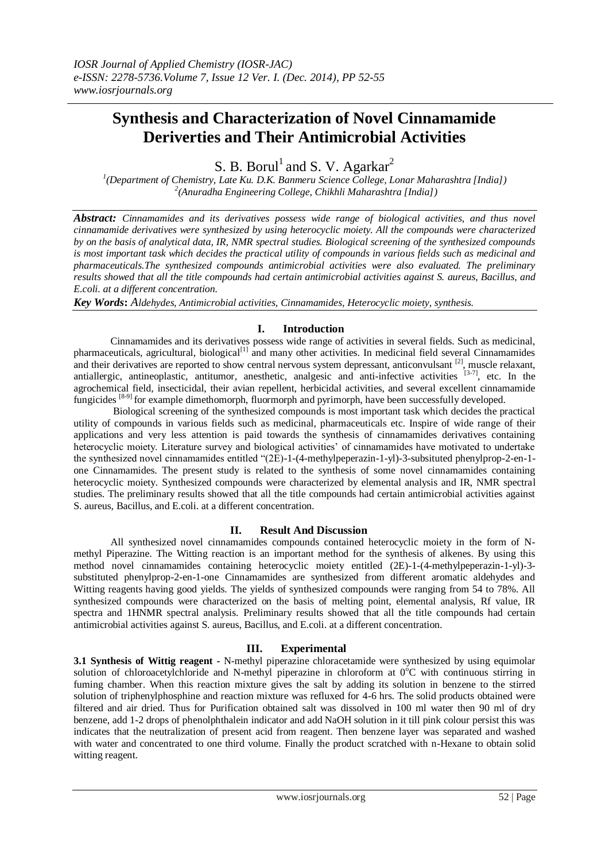# **Synthesis and Characterization of Novel Cinnamamide Deriverties and Their Antimicrobial Activities**

S. B. Borul<sup>1</sup> and S. V. Agarkar<sup>2</sup>

*1 (Department of Chemistry, Late Ku. D.K. Banmeru Science College, Lonar Maharashtra [India]) 2 (Anuradha Engineering College, Chikhli Maharashtra [India])*

*Abstract: Cinnamamides and its derivatives possess wide range of biological activities, and thus novel cinnamamide derivatives were synthesized by using heterocyclic moiety. All the compounds were characterized by on the basis of analytical data, IR, NMR spectral studies. Biological screening of the synthesized compounds is most important task which decides the practical utility of compounds in various fields such as medicinal and pharmaceuticals.The synthesized compounds antimicrobial activities were also evaluated. The preliminary results showed that all the title compounds had certain antimicrobial activities against S. aureus, Bacillus, and E.coli. at a different concentration.* 

*Key Words***:** *Aldehydes, Antimicrobial activities, Cinnamamides, Heterocyclic moiety, synthesis.*

## **I. Introduction**

Cinnamamides and its derivatives possess wide range of activities in several fields. Such as medicinal, pharmaceuticals, agricultural, biological<sup>[1]</sup> and many other activities. In medicinal field several Cinnamamides and their derivatives are reported to show central nervous system depressant, anticonvulsant [2], muscle relaxant, antiallergic, antineoplastic, antitumor, anesthetic, analgesic and anti-infective activities [3-7], etc. In the agrochemical field, insecticidal, their avian repellent, herbicidal activities, and several excellent cinnamamide fungicides [8-9] for example dimethomorph, fluormorph and pyrimorph, have been successfully developed.

Biological screening of the synthesized compounds is most important task which decides the practical utility of compounds in various fields such as medicinal, pharmaceuticals etc. Inspire of wide range of their applications and very less attention is paid towards the synthesis of cinnamamides derivatives containing heterocyclic moiety. Literature survey and biological activities' of cinnamamides have motivated to undertake the synthesized novel cinnamamides entitled "(2E)-1-(4-methylpeperazin-1-yl)-3-subsituted phenylprop-2-en-1 one Cinnamamides. The present study is related to the synthesis of some novel cinnamamides containing heterocyclic moiety. Synthesized compounds were characterized by elemental analysis and IR, NMR spectral studies. The preliminary results showed that all the title compounds had certain antimicrobial activities against S. aureus, Bacillus, and E.coli. at a different concentration.

## **II. Result And Discussion**

All synthesized novel cinnamamides compounds contained heterocyclic moiety in the form of Nmethyl Piperazine. The Witting reaction is an important method for the synthesis of alkenes. By using this method novel cinnamamides containing heterocyclic moiety entitled (2E)-1-(4-methylpeperazin-1-yl)-3 substituted phenylprop-2-en-1-one Cinnamamides are synthesized from different aromatic aldehydes and Witting reagents having good yields. The yields of synthesized compounds were ranging from 54 to 78%. All synthesized compounds were characterized on the basis of melting point, elemental analysis, Rf value, IR spectra and 1HNMR spectral analysis. Preliminary results showed that all the title compounds had certain antimicrobial activities against S. aureus, Bacillus, and E.coli. at a different concentration.

## **III. Experimental**

**3.1 Synthesis of Wittig reagent -** N-methyl piperazine chloracetamide were synthesized by using equimolar solution of chloroacetylchloride and N-methyl piperazine in chloroform at 0°C with continuous stirring in fuming chamber. When this reaction mixture gives the salt by adding its solution in benzene to the stirred solution of triphenylphosphine and reaction mixture was refluxed for 4-6 hrs. The solid products obtained were filtered and air dried. Thus for Purification obtained salt was dissolved in 100 ml water then 90 ml of dry benzene, add 1-2 drops of phenolphthalein indicator and add NaOH solution in it till pink colour persist this was indicates that the neutralization of present acid from reagent. Then benzene layer was separated and washed with water and concentrated to one third volume. Finally the product scratched with n-Hexane to obtain solid witting reagent.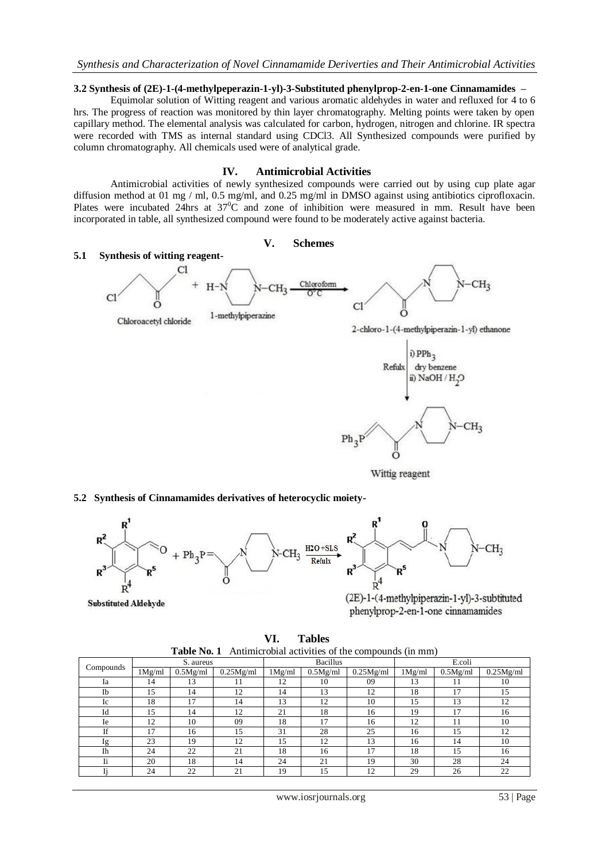#### *Synthesis and Characterization of Novel Cinnamamide Deriverties and Their Antimicrobial Activities*

#### **3.2 Synthesis of (2E)-1-(4-methylpeperazin-1-yl)-3-Substituted phenylprop-2-en-1-one Cinnamamides –**

Equimolar solution of Witting reagent and various aromatic aldehydes in water and refluxed for 4 to 6 hrs. The progress of reaction was monitored by thin layer chromatography. Melting points were taken by open capillary method. The elemental analysis was calculated for carbon, hydrogen, nitrogen and chlorine. IR spectra were recorded with TMS as internal standard using CDCl3. All Synthesized compounds were purified by column chromatography. All chemicals used were of analytical grade.

#### **IV. Antimicrobial Activities**

Antimicrobial activities of newly synthesized compounds were carried out by using cup plate agar diffusion method at 01 mg / ml, 0.5 mg/ml, and 0.25 mg/ml in DMSO against using antibiotics ciprofloxacin. Plates were incubated 24hrs at  $37^0C$  and zone of inhibition were measured in mm. Result have been incorporated in table, all synthesized compound were found to be moderately active against bacteria.

## **V. Schemes**





Wittig reagent

**5.2 Synthesis of Cinnamamides derivatives of heterocyclic moiety-**



**Substituted Aldehyde** 

(2E)-1-(4-methylpiperazin-1-yl)-3-subtituted phenylprop-2-en-1-one cinnamamides

| <b>Tables</b>                                                        |  |
|----------------------------------------------------------------------|--|
| <b>Table No. 1</b> Antimicrobial activities of the compounds (in mm) |  |
|                                                                      |  |

|           | S. aureus |          |           | <b>Bacillus</b> |          |           | E.coli |          |           |
|-----------|-----------|----------|-----------|-----------------|----------|-----------|--------|----------|-----------|
| Compounds | 1Mg/ml    | 0.5Mg/ml | 0.25Mg/ml | 1Mg/ml          | 0.5Mg/ml | 0.25Mg/ml | 1Mg/ml | 0.5Mg/ml | 0.25Mg/ml |
| Ia        | 14        | 13       | 11        | 12              | 10       | 09        | 13     |          | 10        |
| Ib        | 15        | 14       | 12        | 14              | 13       | 12        | 18     | 17       | 15        |
| Ic        | 18        | 17       | 14        | 13              | 12       | 10        | 15     | 13       | 12        |
| Id        | 15        | 14       | 12        | 21              | 18       | 16        | 19     | 17       | 16        |
| Ie        | 12        | 10       | 09        | 18              | 17       | 16        | 12     | 11       | 10        |
| If        | 17        | 16       | 15        | 31              | 28       | 25        | 16     | 15       | 12        |
| Ig        | 23        | 19       | 12        | 15              | 12       | 13        | 16     | 14       | 10        |
| <b>Ih</b> | 24        | 22       | 21        | 18              | 16       | 17        | 18     | 15       | 16        |
| Ii        | 20        | 18       | 14        | 24              | 21       | 19        | 30     | 28       | 24        |
|           | 24        | 22       | 21        | 19              | 15       | 12        | 29     | 26       | 22        |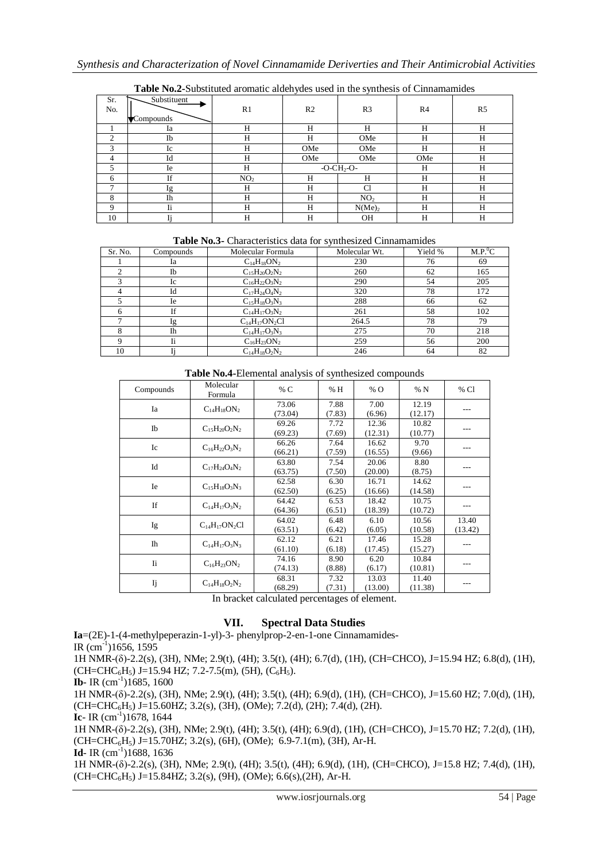|            |                          |                 | $\tilde{\phantom{a}}$ | $\tilde{\phantom{a}}$ |                |    |
|------------|--------------------------|-----------------|-----------------------|-----------------------|----------------|----|
| Sr.<br>No. | Substituent<br>Compounds | R1              | R <sub>2</sub>        | R3                    | R <sub>4</sub> | R5 |
|            | Ia                       | Н               | Н                     | Н                     | Н              | Н  |
| ◠          | Ib                       | Н               | H                     | OMe                   | Н              | H  |
| 3          | Ic                       | Н               | OMe                   | OMe                   | Н              | H  |
| 4          | Id                       | Н               | OMe                   | OMe                   | OMe            | H  |
|            | Ie                       | Н               |                       | $-O-CH_2-O-$          | Н              | Н  |
| 6          | If                       | NO <sub>2</sub> | H                     | Н                     | Н              | H  |
| −          | lg                       | Н               | H                     | Cl                    | Н              | Н  |
| 8          | Ih                       | Н               | Н                     | NO <sub>2</sub>       | Н              | Н  |
| Q          | Ii                       | Н               | H                     | N(Me) <sub>2</sub>    | Н              | Н  |
| 10         |                          | Н               | Н                     | OН                    | Н              | Н  |

**Table No.2-**Substituted aromatic aldehydes used in the synthesis of Cinnamamides

**Table No.3-** Characteristics data for synthesized Cinnamamides

| Sr. No. | Compounds | Molecular Formula    | Molecular Wt. | Yield % | M.P. <sup>0</sup> C |
|---------|-----------|----------------------|---------------|---------|---------------------|
|         | Ia        | $C_{14}H_{18}ON_2$   | 230           | 76      | 69                  |
|         | Ib        | $C_{15}H_{20}O_2N_2$ | 260           | 62      | 165                 |
| 3       | Ic        | $C_{16}H_{22}O_3N_2$ | 290           | 54      | 205                 |
|         | Id        | $C_{17}H_{24}O_4N_2$ | 320           | 78      | 172                 |
|         | Ie        | $C_{15}H_{18}O_3N_3$ | 288           | 66      | 62                  |
|         | If        | $C_{14}H_{17}O_3N_2$ | 261           | 58      | 102                 |
|         | lg        | $C_{14}H_{17}ON_2Cl$ | 264.5         | 78      | 79                  |
|         | <b>Ih</b> | $C_{14}H_{17}O_3N_3$ | 275           | 70      | 218                 |
|         | Ii        | $C_{16}H_{23}ON_2$   | 259           | 56      | 200                 |
| 10      |           | $C_{14}H_{18}O_2N_2$ | 246           | 64      | 82                  |

**Table No.4-**Elemental analysis of synthesized compounds

| Compounds      | Molecular<br>Formula | % C     | % H    | % O     | %N      | % Cl    |
|----------------|----------------------|---------|--------|---------|---------|---------|
| Ia             |                      | 73.06   | 7.88   | 7.00    | 12.19   | ---     |
|                | $C_{14}H_{18}ON_2$   | (73.04) | (7.83) | (6.96)  | (12.17) |         |
| Ib             |                      | 69.26   | 7.72   | 12.36   | 10.82   |         |
|                | $C_{15}H_{20}O_2N_2$ | (69.23) | (7.69) | (12.31) | (10.77) | ---     |
| Ic             | $C_{16}H_{22}O_3N_2$ | 66.26   | 7.64   | 16.62   | 9.70    |         |
|                |                      | (66.21) | (7.59) | (16.55) | (9.66)  | ---     |
| Id             | $C_{17}H_{24}O_4N_2$ | 63.80   | 7.54   | 20.06   | 8.80    |         |
|                |                      | (63.75) | (7.50) | (20.00) | (8.75)  |         |
| Ie             | $C_{15}H_{18}O_3N_3$ | 62.58   | 6.30   | 16.71   | 14.62   |         |
|                |                      | (62.50) | (6.25) | (16.66) | (14.58) | ---     |
| <b>If</b>      | $C_{14}H_{17}O_3N_2$ | 64.42   | 6.53   | 18.42   | 10.75   |         |
|                |                      | (64.36) | (6.51) | (18.39) | (10.72) | ---     |
|                | $C_{14}H_{17}ON_2Cl$ | 64.02   | 6.48   | 6.10    | 10.56   | 13.40   |
| Ig             |                      | (63.51) | (6.42) | (6.05)  | (10.58) | (13.42) |
| I <sub>h</sub> | $C_{14}H_{17}O_3N_3$ | 62.12   | 6.21   | 17.46   | 15.28   |         |
|                |                      | (61.10) | (6.18) | (17.45) | (15.27) | ---     |
| Ii.            | $C_{16}H_{23}ON_2$   | 74.16   | 8.90   | 6.20    | 10.84   |         |
|                |                      | (74.13) | (8.88) | (6.17)  | (10.81) |         |
|                |                      | 68.31   | 7.32   | 13.03   | 11.40   |         |
| IJ             | $C_{14}H_{18}O_2N_2$ | (68.29) | (7.31) | (13.00) | (11.38) |         |

In bracket calculated percentages of element.

## **VII. Spectral Data Studies**

**Ia**=(2E)-1-(4-methylpeperazin-1-yl)-3- phenylprop-2-en-1-one Cinnamamides-IR  $\text{(cm}^{-1})$ 1656, 1595

1H NMR-(δ)-2.2(s), (3H), NMe; 2.9(t), (4H); 3.5(t), (4H); 6.7(d), (1H), (CH=CHCO), J=15.94 HZ; 6.8(d), (1H),  $(CH=CHC_6H_5)$  J=15.94 HZ; 7.2-7.5(m), (5H), (C<sub>6</sub>H<sub>5</sub>).

**Ib**- IR  $(cm^{-1})1685, 1600$ 

1H NMR-(δ)-2.2(s), (3H), NMe; 2.9(t), (4H); 3.5(t), (4H); 6.9(d), (1H), (CH=CHCO), J=15.60 HZ; 7.0(d), (1H), (CH=CHC6H5) J=15.60HZ; 3.2(s), (3H), (OMe); 7.2(d), (2H); 7.4(d), (2H).

 $Ic- IR$  (cm<sup>-1</sup>)1678, 1644

1H NMR-(δ)-2.2(s), (3H), NMe; 2.9(t), (4H); 3.5(t), (4H); 6.9(d), (1H), (CH=CHCO), J=15.70 HZ; 7.2(d), (1H),  $(CH=CHC_6H_5)$  J=15.70HZ; 3.2(s), (6H), (OMe); 6.9-7.1(m), (3H), Ar-H.

 $Id - IR$  (cm<sup>-1</sup>)1688, 1636

1H NMR-(δ)-2.2(s), (3H), NMe; 2.9(t), (4H); 3.5(t), (4H); 6.9(d), (1H), (CH=CHCO), J=15.8 HZ; 7.4(d), (1H), (CH=CHC6H5) J=15.84HZ; 3.2(s), (9H), (OMe); 6.6(s),(2H), Ar-H.